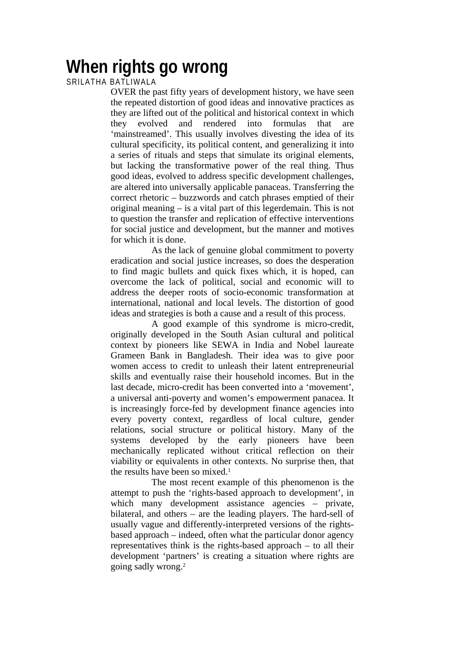## **When rights go wrong**

## SRILATHA BATLIWALA

OVER the past fifty years of development history, we have seen the repeated distortion of good ideas and innovative practices as they are lifted out of the political and historical context in which they evolved and rendered into formulas that are 'mainstreamed'. This usually involves divesting the idea of its cultural specificity, its political content, and generalizing it into a series of rituals and steps that simulate its original elements, but lacking the transformative power of the real thing. Thus good ideas, evolved to address specific development challenges, are altered into universally applicable panaceas. Transferring the correct rhetoric – buzzwords and catch phrases emptied of their original meaning – is a vital part of this legerdemain. This is not to question the transfer and replication of effective interventions for social justice and development, but the manner and motives for which it is done.

As the lack of genuine global commitment to poverty eradication and social justice increases, so does the desperation to find magic bullets and quick fixes which, it is hoped, can overcome the lack of political, social and economic will to address the deeper roots of socio-economic transformation at international, national and local levels. The distortion of good ideas and strategies is both a cause and a result of this process.

A good example of this syndrome is micro-credit, originally developed in the South Asian cultural and political context by pioneers like SEWA in India and Nobel laureate Grameen Bank in Bangladesh. Their idea was to give poor women access to credit to unleash their latent entrepreneurial skills and eventually raise their household incomes. But in the last decade, micro-credit has been converted into a 'movement', a universal anti-poverty and women's empowerment panacea. It is increasingly force-fed by development finance agencies into every poverty context, regardless of local culture, gender relations, social structure or political history. Many of the systems developed by the early pioneers have been mechanically replicated without critical reflection on their viability or equivalents in other contexts. No surprise then, that the results have been so mixed.1

The most recent example of this phenomenon is the attempt to push the 'rights-based approach to development', in which many development assistance agencies – private, bilateral, and others – are the leading players. The hard-sell of usually vague and differently-interpreted versions of the rightsbased approach – indeed, often what the particular donor agency representatives think is the rights-based approach – to all their development 'partners' is creating a situation where rights are going sadly wrong.2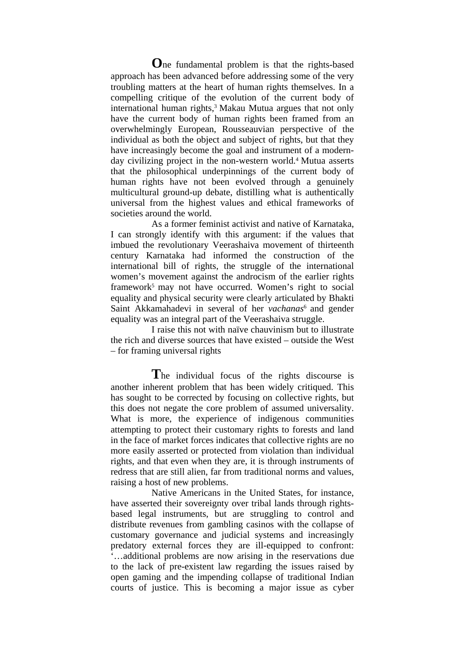**O**ne fundamental problem is that the rights-based approach has been advanced before addressing some of the very troubling matters at the heart of human rights themselves. In a compelling critique of the evolution of the current body of international human rights,<sup>3</sup> Makau Mutua argues that not only have the current body of human rights been framed from an overwhelmingly European, Rousseauvian perspective of the individual as both the object and subject of rights, but that they have increasingly become the goal and instrument of a modernday civilizing project in the non-western world.<sup>4</sup> Mutua asserts that the philosophical underpinnings of the current body of human rights have not been evolved through a genuinely multicultural ground-up debate, distilling what is authentically universal from the highest values and ethical frameworks of societies around the world.

As a former feminist activist and native of Karnataka, I can strongly identify with this argument: if the values that imbued the revolutionary Veerashaiva movement of thirteenth century Karnataka had informed the construction of the international bill of rights, the struggle of the international women's movement against the androcism of the earlier rights framework5 may not have occurred. Women's right to social equality and physical security were clearly articulated by Bhakti Saint Akkamahadevi in several of her *vachanas*<sup>6</sup> and gender equality was an integral part of the Veerashaiva struggle.

I raise this not with naïve chauvinism but to illustrate the rich and diverse sources that have existed – outside the West – for framing universal rights

**T**he individual focus of the rights discourse is another inherent problem that has been widely critiqued. This has sought to be corrected by focusing on collective rights, but this does not negate the core problem of assumed universality. What is more, the experience of indigenous communities attempting to protect their customary rights to forests and land in the face of market forces indicates that collective rights are no more easily asserted or protected from violation than individual rights, and that even when they are, it is through instruments of redress that are still alien, far from traditional norms and values, raising a host of new problems.

Native Americans in the United States, for instance, have asserted their sovereignty over tribal lands through rightsbased legal instruments, but are struggling to control and distribute revenues from gambling casinos with the collapse of customary governance and judicial systems and increasingly predatory external forces they are ill-equipped to confront: '…additional problems are now arising in the reservations due to the lack of pre-existent law regarding the issues raised by open gaming and the impending collapse of traditional Indian courts of justice. This is becoming a major issue as cyber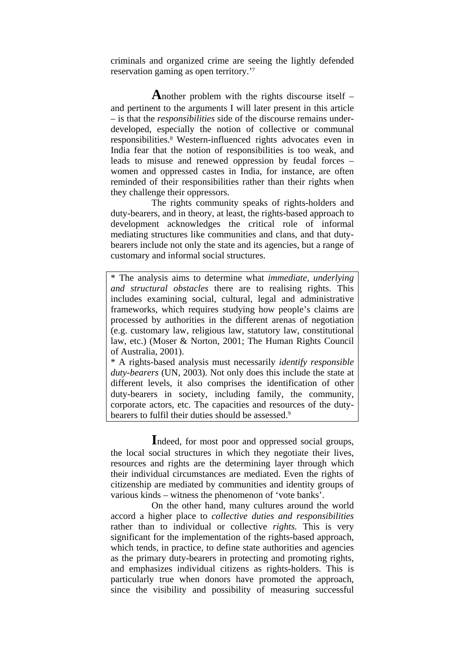criminals and organized crime are seeing the lightly defended reservation gaming as open territory.'7

**A**nother problem with the rights discourse itself – and pertinent to the arguments I will later present in this article – is that the *responsibilities* side of the discourse remains underdeveloped, especially the notion of collective or communal responsibilities.8 Western-influenced rights advocates even in India fear that the notion of responsibilities is too weak, and leads to misuse and renewed oppression by feudal forces – women and oppressed castes in India, for instance, are often reminded of their responsibilities rather than their rights when they challenge their oppressors.

The rights community speaks of rights-holders and duty-bearers, and in theory, at least, the rights-based approach to development acknowledges the critical role of informal mediating structures like communities and clans, and that dutybearers include not only the state and its agencies, but a range of customary and informal social structures.

\* The analysis aims to determine what *immediate, underlying and structural obstacles* there are to realising rights. This includes examining social, cultural, legal and administrative frameworks, which requires studying how people's claims are processed by authorities in the different arenas of negotiation (e.g. customary law, religious law, statutory law, constitutional law, etc.) (Moser & Norton, 2001; The Human Rights Council of Australia, 2001).

\* A rights-based analysis must necessarily *identify responsible duty-bearers* (UN, 2003). Not only does this include the state at different levels, it also comprises the identification of other duty-bearers in society, including family, the community, corporate actors, etc. The capacities and resources of the dutybearers to fulfil their duties should be assessed.<sup>9</sup>

**I**ndeed, for most poor and oppressed social groups, the local social structures in which they negotiate their lives, resources and rights are the determining layer through which their individual circumstances are mediated. Even the rights of citizenship are mediated by communities and identity groups of various kinds – witness the phenomenon of 'vote banks'.

On the other hand, many cultures around the world accord a higher place to *collective duties and responsibilities* rather than to individual or collective *rights.* This is very significant for the implementation of the rights-based approach, which tends, in practice, to define state authorities and agencies as the primary duty-bearers in protecting and promoting rights, and emphasizes individual citizens as rights-holders. This is particularly true when donors have promoted the approach, since the visibility and possibility of measuring successful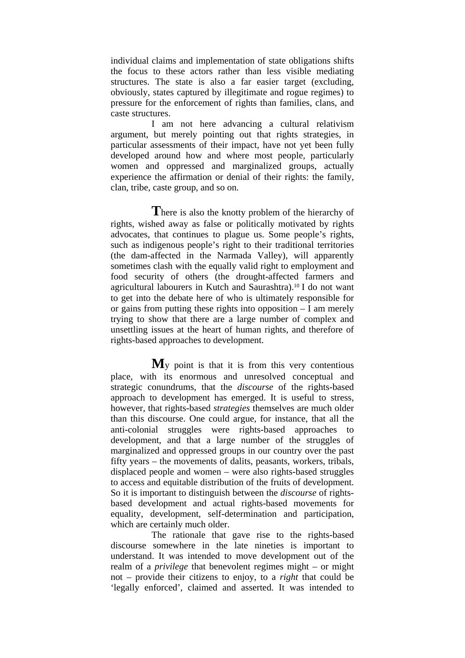individual claims and implementation of state obligations shifts the focus to these actors rather than less visible mediating structures. The state is also a far easier target (excluding, obviously, states captured by illegitimate and rogue regimes) to pressure for the enforcement of rights than families, clans, and caste structures.

I am not here advancing a cultural relativism argument, but merely pointing out that rights strategies, in particular assessments of their impact, have not yet been fully developed around how and where most people, particularly women and oppressed and marginalized groups, actually experience the affirmation or denial of their rights: the family, clan, tribe, caste group, and so on.

There is also the knotty problem of the hierarchy of rights, wished away as false or politically motivated by rights advocates, that continues to plague us. Some people's rights, such as indigenous people's right to their traditional territories (the dam-affected in the Narmada Valley), will apparently sometimes clash with the equally valid right to employment and food security of others (the drought-affected farmers and agricultural labourers in Kutch and Saurashtra).10 I do not want to get into the debate here of who is ultimately responsible for or gains from putting these rights into opposition – I am merely trying to show that there are a large number of complex and unsettling issues at the heart of human rights, and therefore of rights-based approaches to development.

**M**y point is that it is from this very contentious place, with its enormous and unresolved conceptual and strategic conundrums, that the *discourse* of the rights-based approach to development has emerged. It is useful to stress, however, that rights-based *strategies* themselves are much older than this discourse. One could argue, for instance, that all the anti-colonial struggles were rights-based approaches to development, and that a large number of the struggles of marginalized and oppressed groups in our country over the past fifty years – the movements of dalits, peasants, workers, tribals, displaced people and women – were also rights-based struggles to access and equitable distribution of the fruits of development. So it is important to distinguish between the *discourse* of rightsbased development and actual rights-based movements for equality, development, self-determination and participation, which are certainly much older.

The rationale that gave rise to the rights-based discourse somewhere in the late nineties is important to understand. It was intended to move development out of the realm of a *privilege* that benevolent regimes might – or might not – provide their citizens to enjoy, to a *right* that could be 'legally enforced', claimed and asserted. It was intended to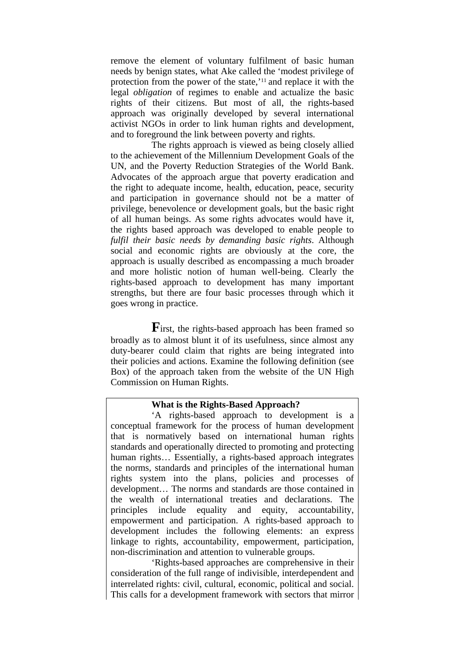remove the element of voluntary fulfilment of basic human needs by benign states, what Ake called the 'modest privilege of protection from the power of the state,'11 and replace it with the legal *obligation* of regimes to enable and actualize the basic rights of their citizens. But most of all, the rights-based approach was originally developed by several international activist NGOs in order to link human rights and development, and to foreground the link between poverty and rights.

The rights approach is viewed as being closely allied to the achievement of the Millennium Development Goals of the UN, and the Poverty Reduction Strategies of the World Bank. Advocates of the approach argue that poverty eradication and the right to adequate income, health, education, peace, security and participation in governance should not be a matter of privilege, benevolence or development goals, but the basic right of all human beings. As some rights advocates would have it, the rights based approach was developed to enable people to *fulfil their basic needs by demanding basic rights*. Although social and economic rights are obviously at the core, the approach is usually described as encompassing a much broader and more holistic notion of human well-being. Clearly the rights-based approach to development has many important strengths, but there are four basic processes through which it goes wrong in practice.

**F**irst, the rights-based approach has been framed so broadly as to almost blunt it of its usefulness, since almost any duty-bearer could claim that rights are being integrated into their policies and actions. Examine the following definition (see Box) of the approach taken from the website of the UN High Commission on Human Rights.

## **What is the Rights-Based Approach?**

'A rights-based approach to development is a conceptual framework for the process of human development that is normatively based on international human rights standards and operationally directed to promoting and protecting human rights... Essentially, a rights-based approach integrates the norms, standards and principles of the international human rights system into the plans, policies and processes of development… The norms and standards are those contained in the wealth of international treaties and declarations. The principles include equality and equity, accountability, empowerment and participation. A rights-based approach to development includes the following elements: an express linkage to rights, accountability, empowerment, participation, non-discrimination and attention to vulnerable groups.

'Rights-based approaches are comprehensive in their consideration of the full range of indivisible, interdependent and interrelated rights: civil, cultural, economic, political and social. This calls for a development framework with sectors that mirror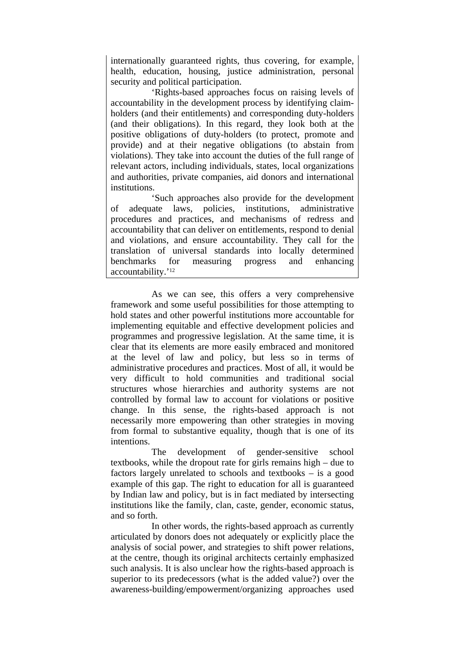internationally guaranteed rights, thus covering, for example, health, education, housing, justice administration, personal security and political participation.

'Rights-based approaches focus on raising levels of accountability in the development process by identifying claimholders (and their entitlements) and corresponding duty-holders (and their obligations). In this regard, they look both at the positive obligations of duty-holders (to protect, promote and provide) and at their negative obligations (to abstain from violations). They take into account the duties of the full range of relevant actors, including individuals, states, local organizations and authorities, private companies, aid donors and international institutions.

'Such approaches also provide for the development of adequate laws, policies, institutions, administrative procedures and practices, and mechanisms of redress and accountability that can deliver on entitlements, respond to denial and violations, and ensure accountability. They call for the translation of universal standards into locally determined benchmarks for measuring progress and enhancing accountability.'12

As we can see, this offers a very comprehensive framework and some useful possibilities for those attempting to hold states and other powerful institutions more accountable for implementing equitable and effective development policies and programmes and progressive legislation. At the same time, it is clear that its elements are more easily embraced and monitored at the level of law and policy, but less so in terms of administrative procedures and practices. Most of all, it would be very difficult to hold communities and traditional social structures whose hierarchies and authority systems are not controlled by formal law to account for violations or positive change. In this sense, the rights-based approach is not necessarily more empowering than other strategies in moving from formal to substantive equality, though that is one of its intentions.

The development of gender-sensitive school textbooks, while the dropout rate for girls remains high – due to factors largely unrelated to schools and textbooks – is a good example of this gap. The right to education for all is guaranteed by Indian law and policy, but is in fact mediated by intersecting institutions like the family, clan, caste, gender, economic status, and so forth.

In other words, the rights-based approach as currently articulated by donors does not adequately or explicitly place the analysis of social power, and strategies to shift power relations, at the centre, though its original architects certainly emphasized such analysis. It is also unclear how the rights-based approach is superior to its predecessors (what is the added value?) over the awareness-building/empowerment/organizing approaches used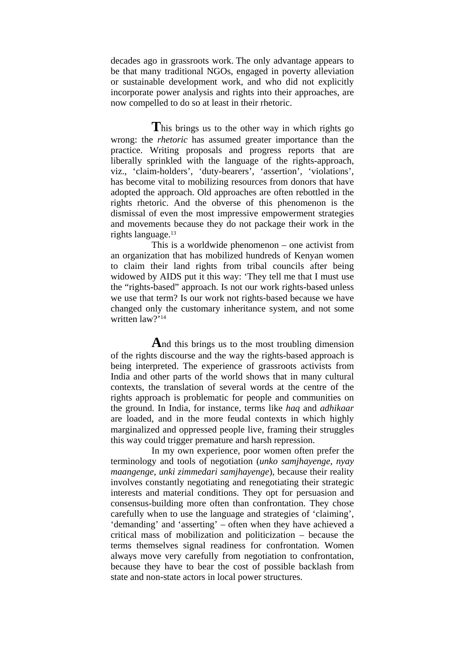decades ago in grassroots work. The only advantage appears to be that many traditional NGOs, engaged in poverty alleviation or sustainable development work, and who did not explicitly incorporate power analysis and rights into their approaches, are now compelled to do so at least in their rhetoric.

This brings us to the other way in which rights go wrong: the *rhetoric* has assumed greater importance than the practice. Writing proposals and progress reports that are liberally sprinkled with the language of the rights-approach, viz., 'claim-holders', 'duty-bearers', 'assertion', 'violations', has become vital to mobilizing resources from donors that have adopted the approach. Old approaches are often rebottled in the rights rhetoric. And the obverse of this phenomenon is the dismissal of even the most impressive empowerment strategies and movements because they do not package their work in the rights language.13

This is a worldwide phenomenon – one activist from an organization that has mobilized hundreds of Kenyan women to claim their land rights from tribal councils after being widowed by AIDS put it this way: 'They tell me that I must use the "rights-based" approach. Is not our work rights-based unless we use that term? Is our work not rights-based because we have changed only the customary inheritance system, and not some written law?'14

**A**nd this brings us to the most troubling dimension of the rights discourse and the way the rights-based approach is being interpreted. The experience of grassroots activists from India and other parts of the world shows that in many cultural contexts, the translation of several words at the centre of the rights approach is problematic for people and communities on the ground. In India, for instance, terms like *haq* and *adhikaar* are loaded, and in the more feudal contexts in which highly marginalized and oppressed people live, framing their struggles this way could trigger premature and harsh repression.

In my own experience, poor women often prefer the terminology and tools of negotiation (*unko samjhayenge*, *nyay maangenge*, *unki zimmedari samjhayenge*), because their reality involves constantly negotiating and renegotiating their strategic interests and material conditions. They opt for persuasion and consensus-building more often than confrontation. They chose carefully when to use the language and strategies of 'claiming', 'demanding' and 'asserting' – often when they have achieved a critical mass of mobilization and politicization – because the terms themselves signal readiness for confrontation. Women always move very carefully from negotiation to confrontation, because they have to bear the cost of possible backlash from state and non-state actors in local power structures.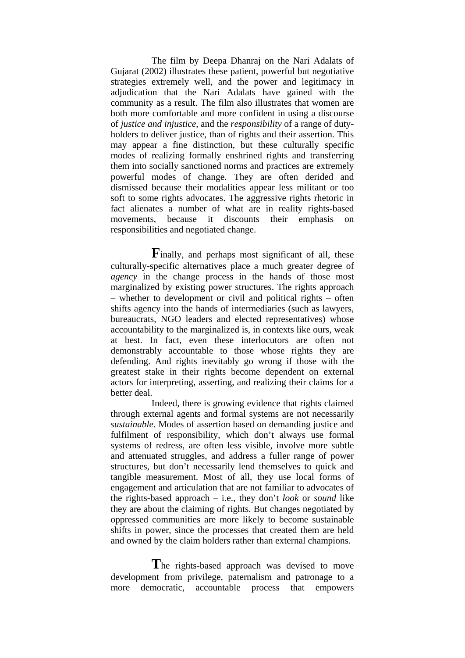The film by Deepa Dhanraj on the Nari Adalats of Gujarat (2002) illustrates these patient, powerful but negotiative strategies extremely well, and the power and legitimacy in adjudication that the Nari Adalats have gained with the community as a result. The film also illustrates that women are both more comfortable and more confident in using a discourse of *justice and injustice*, and the *responsibility* of a range of dutyholders to deliver justice, than of rights and their assertion. This may appear a fine distinction, but these culturally specific modes of realizing formally enshrined rights and transferring them into socially sanctioned norms and practices are extremely powerful modes of change. They are often derided and dismissed because their modalities appear less militant or too soft to some rights advocates. The aggressive rights rhetoric in fact alienates a number of what are in reality rights-based movements, because it discounts their emphasis on responsibilities and negotiated change.

**F**inally, and perhaps most significant of all, these culturally-specific alternatives place a much greater degree of *agency* in the change process in the hands of those most marginalized by existing power structures. The rights approach – whether to development or civil and political rights – often shifts agency into the hands of intermediaries (such as lawyers, bureaucrats, NGO leaders and elected representatives) whose accountability to the marginalized is, in contexts like ours, weak at best. In fact, even these interlocutors are often not demonstrably accountable to those whose rights they are defending. And rights inevitably go wrong if those with the greatest stake in their rights become dependent on external actors for interpreting, asserting, and realizing their claims for a better deal.

Indeed, there is growing evidence that rights claimed through external agents and formal systems are not necessarily *sustainable*. Modes of assertion based on demanding justice and fulfilment of responsibility, which don't always use formal systems of redress, are often less visible, involve more subtle and attenuated struggles, and address a fuller range of power structures, but don't necessarily lend themselves to quick and tangible measurement. Most of all, they use local forms of engagement and articulation that are not familiar to advocates of the rights-based approach – i.e., they don't *look* or *sound* like they are about the claiming of rights. But changes negotiated by oppressed communities are more likely to become sustainable shifts in power, since the processes that created them are held and owned by the claim holders rather than external champions.

**T**he rights-based approach was devised to move development from privilege, paternalism and patronage to a more democratic, accountable process that empowers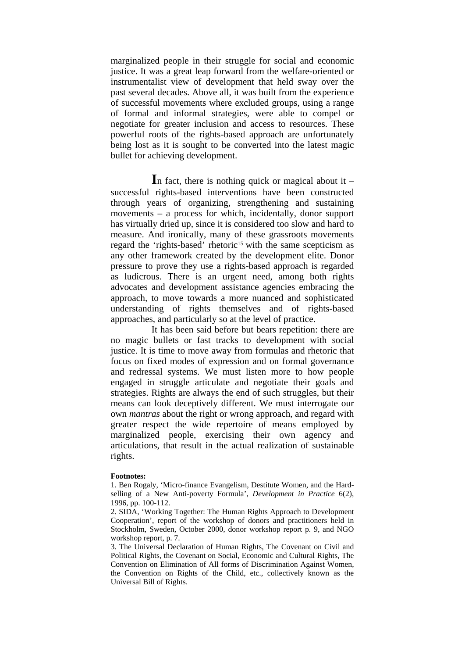marginalized people in their struggle for social and economic justice. It was a great leap forward from the welfare-oriented or instrumentalist view of development that held sway over the past several decades. Above all, it was built from the experience of successful movements where excluded groups, using a range of formal and informal strategies, were able to compel or negotiate for greater inclusion and access to resources. These powerful roots of the rights-based approach are unfortunately being lost as it is sought to be converted into the latest magic bullet for achieving development.

**I**n fact, there is nothing quick or magical about it – successful rights-based interventions have been constructed through years of organizing, strengthening and sustaining movements – a process for which, incidentally, donor support has virtually dried up, since it is considered too slow and hard to measure. And ironically, many of these grassroots movements regard the 'rights-based' rhetoric<sup>15</sup> with the same scepticism as any other framework created by the development elite. Donor pressure to prove they use a rights-based approach is regarded as ludicrous. There is an urgent need, among both rights advocates and development assistance agencies embracing the approach, to move towards a more nuanced and sophisticated understanding of rights themselves and of rights-based approaches, and particularly so at the level of practice.

It has been said before but bears repetition: there are no magic bullets or fast tracks to development with social justice. It is time to move away from formulas and rhetoric that focus on fixed modes of expression and on formal governance and redressal systems. We must listen more to how people engaged in struggle articulate and negotiate their goals and strategies. Rights are always the end of such struggles, but their means can look deceptively different. We must interrogate our own *mantras* about the right or wrong approach, and regard with greater respect the wide repertoire of means employed by marginalized people, exercising their own agency and articulations, that result in the actual realization of sustainable rights.

## **Footnotes:**

1. Ben Rogaly, 'Micro-finance Evangelism, Destitute Women, and the Hardselling of a New Anti-poverty Formula', *Development in Practice* 6(2), 1996, pp. 100-112.

2. SIDA, 'Working Together: The Human Rights Approach to Development Cooperation', report of the workshop of donors and practitioners held in Stockholm, Sweden, October 2000, donor workshop report p. 9, and NGO workshop report, p. 7.

3. The Universal Declaration of Human Rights, The Covenant on Civil and Political Rights, the Covenant on Social, Economic and Cultural Rights, The Convention on Elimination of All forms of Discrimination Against Women, the Convention on Rights of the Child, etc., collectively known as the Universal Bill of Rights.